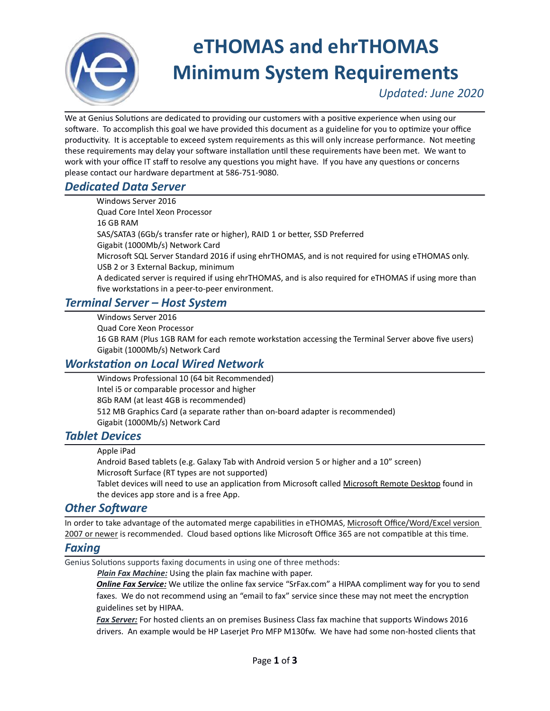

# eTHOMAS and ehrTHOMAS Minimum System Requirements

Updated: June 2020

We at Genius Solutions are dedicated to providing our customers with a positive experience when using our software. To accomplish this goal we have provided this document as a guideline for you to optimize your office productivity. It is acceptable to exceed system requirements as this will only increase performance. Not meeting these requirements may delay your software installation until these requirements have been met. We want to work with your office IT staff to resolve any questions you might have. If you have any questions or concerns please contact our hardware department at 586-751-9080.

## Dedicated Data Server

Windows Server 2016 Quad Core Intel Xeon Processor 16 GB RAM SAS/SATA3 (6Gb/s transfer rate or higher), RAID 1 or better, SSD Preferred Gigabit (1000Mb/s) Network Card Microsoft SQL Server Standard 2016 if using ehrTHOMAS, and is not required for using eTHOMAS only. USB 2 or 3 External Backup, minimum A dedicated server is required if using ehrTHOMAS, and is also required for eTHOMAS if using more than five workstations in a peer-to-peer environment.

# Terminal Server – Host System

Windows Server 2016 Quad Core Xeon Processor 16 GB RAM (Plus 1GB RAM for each remote workstation accessing the Terminal Server above five users) Gigabit (1000Mb/s) Network Card

# **Workstation on Local Wired Network**

Windows Professional 10 (64 bit Recommended) Intel i5 or comparable processor and higher 8Gb RAM (at least 4GB is recommended) 512 MB Graphics Card (a separate rather than on-board adapter is recommended) Gigabit (1000Mb/s) Network Card

### Tablet Devices

Android Based tablets (e.g. Galaxy Tab with Android version 5 or higher and a 10" screen) Microsoft Surface (RT types are not supported)

Tablet devices will need to use an application from Microsoft called Microsoft Remote Desktop found in the devices app store and is a free App.

### **Other Software**

In order to take advantage of the automated merge capabilities in eTHOMAS, Microsoft Office/Word/Excel version 2007 or newer is recommended. Cloud based options like Microsoft Office 365 are not compatible at this time.

### Faxing

Genius Solutions supports faxing documents in using one of three methods:

Plain Fax Machine: Using the plain fax machine with paper.

**Online Fax Service:** We utilize the online fax service "SrFax.com" a HIPAA compliment way for you to send faxes. We do not recommend using an "email to fax" service since these may not meet the encryption guidelines set by HIPAA.

Fax Server: For hosted clients an on premises Business Class fax machine that supports Windows 2016 drivers. An example would be HP Laserjet Pro MFP M130fw. We have had some non-hosted clients that

Apple iPad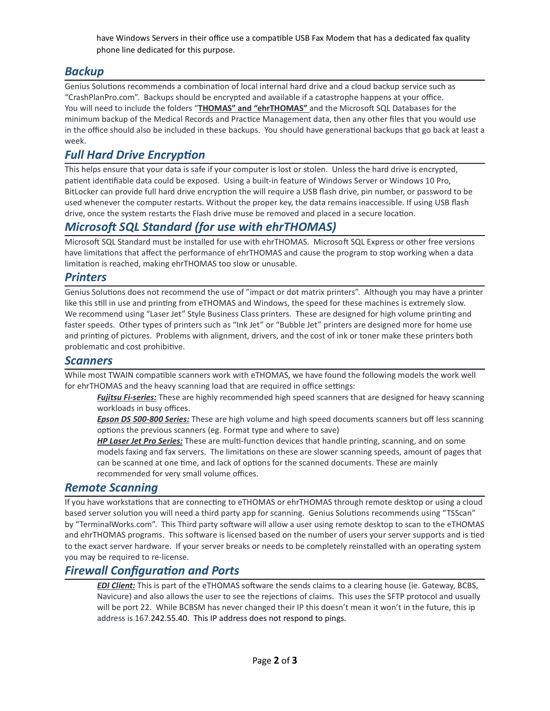have Windows Servers in their office use a compatible USB Fax Modem that has a dedicated fax quality phone line dedicated for this purpose.

# Backup

Genius Solutions recommends a combination of local internal hard drive and a cloud backup service such as "CrashPlanPro.com". Backups should be encrypted and available if a catastrophe happens at your office. You will need to include the folders "THOMAS" and "ehrTHOMAS" and the Microsoft SQL Databases for the minimum backup of the Medical Records and Practice Management data, then any other files that you would use in the office should also be included in these backups. You should have generational backups that go back at least a week.

# **Full Hard Drive Encryption**

This helps ensure that your data is safe if your computer is lost or stolen. Unless the hard drive is encrypted, patient identifiable data could be exposed. Using a built-in feature of Windows Server or Windows 10 Pro, BitLocker can provide full hard drive encryption the will require a USB flash drive, pin number, or password to be used whenever the computer restarts. Without the proper key, the data remains inaccessible. If using USB flash drive, once the system restarts the Flash drive muse be removed and placed in a secure location.

## Microsoft SQL Standard (for use with ehrTHOMAS)

Microsoft SQL Standard must be installed for use with ehrTHOMAS. Microsoft SQL Express or other free versions have limitations that affect the performance of ehrTHOMAS and cause the program to stop working when a data limitation is reached, making ehrTHOMAS too slow or unusable.

#### **Printers**

Genius Solutions does not recommend the use of "impact or dot matrix printers". Although you may have a printer like this still in use and printing from eTHOMAS and Windows, the speed for these machines is extremely slow. We recommend using "Laser Jet" Style Business Class printers. These are designed for high volume printing and faster speeds. Other types of printers such as "Ink Jet" or "Bubble Jet" printers are designed more for home use and printing of pictures. Problems with alignment, drivers, and the cost of ink or toner make these printers both problematic and cost prohibitive.

#### **Scanners**

While most TWAIN compatible scanners work with eTHOMAS, we have found the following models the work well for ehrTHOMAS and the heavy scanning load that are required in office settings:

Fujitsu Fi-series: These are highly recommended high speed scanners that are designed for heavy scanning workloads in busy offices.

Epson DS 500-800 Series: These are high volume and high speed documents scanners but off less scanning options the previous scanners (eg. Format type and where to save)

HP Laser Jet Pro Series: These are multi-function devices that handle printing, scanning, and on some models faxing and fax servers. The limitations on these are slower scanning speeds, amount of pages that can be scanned at one time, and lack of options for the scanned documents. These are mainly recommended for very small volume offices.

### Remote Scanning

If you have workstations that are connecting to eTHOMAS or ehrTHOMAS through remote desktop or using a cloud based server solution you will need a third party app for scanning. Genius Solutions recommends using "TSScan" by "TerminalWorks.com". This Third party software will allow a user using remote desktop to scan to the eTHOMAS and ehrTHOMAS programs. This software is licensed based on the number of users your server supports and is tied to the exact server hardware. If your server breaks or needs to be completely reinstalled with an operating system you may be required to re-license.

### **Firewall Configuration and Ports**

EDI Client: This is part of the eTHOMAS software the sends claims to a clearing house (ie. Gateway, BCBS, Navicure) and also allows the user to see the rejections of claims. This uses the SFTP protocol and usually will be port 22. While BCBSM has never changed their IP this doesn't mean it won't in the future, this ip address is 167.242.55.40. This IP address does not respond to pings.